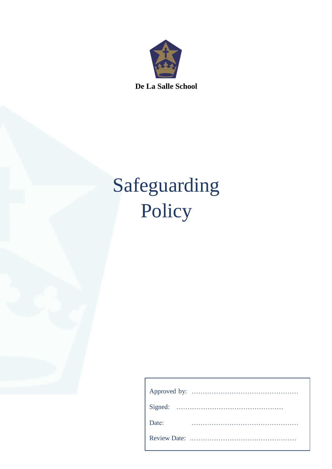

**De La Salle School**

# Safeguarding Policy

| Date: |  |  |  |  |
|-------|--|--|--|--|
|       |  |  |  |  |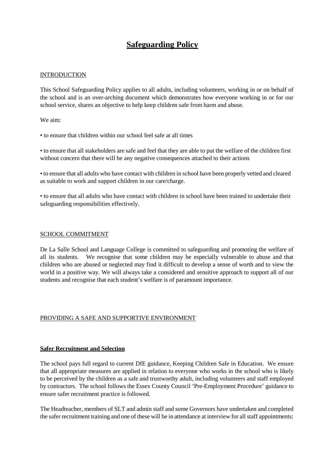# **Safeguarding Policy**

# **INTRODUCTION**

This School Safeguarding Policy applies to all adults, including volunteers, working in or on behalf of the school and is an over-arching document which demonstrates how everyone working in or for our school service, shares an objective to help keep children safe from harm and abuse.

We aim:

• to ensure that children within our school feel safe at all times

• to ensure that all stakeholders are safe and feel that they are able to put the welfare of the children first without concern that there will be any negative consequences attached to their actions

• to ensure that all adults who have contact with children in school have been properly vetted and cleared as suitable to work and support children in our care/charge.

• to ensure that all adults who have contact with children in school have been trained to undertake their safeguarding responsibilities effectively.

#### SCHOOL COMMITMENT

De La Salle School and Language College is committed to safeguarding and promoting the welfare of all its students. We recognise that some children may be especially vulnerable to abuse and that children who are abused or neglected may find it difficult to develop a sense of worth and to view the world in a positive way. We will always take a considered and sensitive approach to support all of our students and recognise that each student's welfare is of paramount importance.

## PROVIDING A SAFE AND SUPPORTIVE ENVIRONMENT

## **Safer Recruitment and Selection**

The school pays full regard to current DfE guidance, Keeping Children Safe in Education. We ensure that all appropriate measures are applied in relation to everyone who works in the school who is likely to be perceived by the children as a safe and trustworthy adult, including volunteers and staff employed by contractors. The school follows the Essex County Council 'Pre-Employment Procedure' guidance to ensure safer recruitment practice is followed.

The Headteacher, members of SLT and admin staff and some Governors have undertaken and completed the safer recruitment training and one of these will be in attendance at interview for allstaff appointments: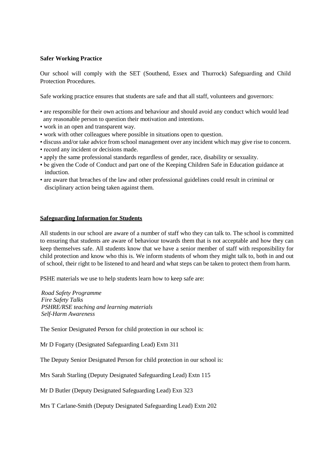#### **Safer Working Practice**

Our school will comply with the SET (Southend, Essex and Thurrock) Safeguarding and Child Protection Procedures.

Safe working practice ensures that students are safe and that all staff, volunteers and governors:

- are responsible for their own actions and behaviour and should avoid any conduct which would lead any reasonable person to question their motivation and intentions.
- work in an open and transparent way.
- work with other colleagues where possible in situations open to question.
- discuss and/or take advice from school management over any incident which may give rise to concern.
- record any incident or decisions made.
- apply the same professional standards regardless of gender, race, disability or sexuality.
- be given the Code of Conduct and part one of the Keeping Children Safe in Education guidance at induction.
- are aware that breaches of the law and other professional guidelines could result in criminal or disciplinary action being taken against them.

#### **Safeguarding Information for Students**

All students in our school are aware of a number of staff who they can talk to. The school is committed to ensuring that students are aware of behaviour towards them that is not acceptable and how they can keep themselves safe. All students know that we have a senior member of staff with responsibility for child protection and know who this is. We inform students of whom they might talk to, both in and out of school, their right to be listened to and heard and what steps can be taken to protect them from harm.

PSHE materials we use to help students learn how to keep safe are:

*Road Safety Programme Fire Safety Talks PSHRE/RSE teaching and learning materials Self-Harm Awareness*

The Senior Designated Person for child protection in our school is:

Mr D Fogarty (Designated Safeguarding Lead) Extn 311

The Deputy Senior Designated Person for child protection in our school is:

Mrs Sarah Starling (Deputy Designated Safeguarding Lead) Extn 115

Mr D Butler (Deputy Designated Safeguarding Lead) Exn 323

Mrs T Carlane-Smith (Deputy Designated Safeguarding Lead) Extn 202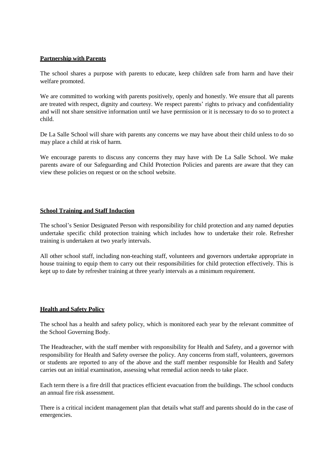# **Partnership with Parents**

The school shares a purpose with parents to educate, keep children safe from harm and have their welfare promoted.

We are committed to working with parents positively, openly and honestly. We ensure that all parents are treated with respect, dignity and courtesy. We respect parents' rights to privacy and confidentiality and will not share sensitive information until we have permission or it is necessary to do so to protect a child.

De La Salle School will share with parents any concerns we may have about their child unless to do so may place a child at risk of harm.

We encourage parents to discuss any concerns they may have with De La Salle School. We make parents aware of our Safeguarding and Child Protection Policies and parents are aware that they can view these policies on request or on the school website.

## **School Training and Staff Induction**

The school's Senior Designated Person with responsibility for child protection and any named deputies undertake specific child protection training which includes how to undertake their role. Refresher training is undertaken at two yearly intervals.

All other school staff, including non-teaching staff, volunteers and governors undertake appropriate in house training to equip them to carry out their responsibilities for child protection effectively. This is kept up to date by refresher training at three yearly intervals as a minimum requirement.

## **Health and Safety Policy**

The school has a health and safety policy, which is monitored each year by the relevant committee of the School Governing Body.

The Headteacher, with the staff member with responsibility for Health and Safety, and a governor with responsibility for Health and Safety oversee the policy. Any concerns from staff, volunteers, governors or students are reported to any of the above and the staff member responsible for Health and Safety carries out an initial examination, assessing what remedial action needs to take place.

Each term there is a fire drill that practices efficient evacuation from the buildings. The school conducts an annual fire risk assessment.

There is a critical incident management plan that details what staff and parents should do in the case of emergencies.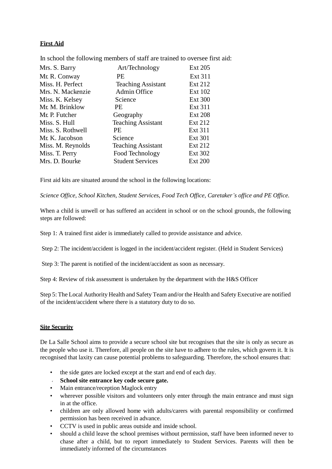# **First Aid**

| Mrs. S. Barry     | Art/Technology            | <b>Ext 205</b> |
|-------------------|---------------------------|----------------|
| Mr. R. Conway     | PE.                       | Ext 311        |
| Miss. H. Perfect  | <b>Teaching Assistant</b> | Ext 212        |
| Mrs. N. Mackenzie | Admin Office              | <b>Ext 102</b> |
| Miss. K. Kelsey   | Science                   | <b>Ext 300</b> |
| Mr. M. Brinklow   | PE.                       | <b>Ext 311</b> |
| Mr. P. Futcher    | Geography                 | <b>Ext 208</b> |
| Miss. S. Hull     | <b>Teaching Assistant</b> | Ext 212        |
| Miss. S. Rothwell | PF.                       | <b>Ext 311</b> |
| Mr. K. Jacobson   | Science                   | <b>Ext 301</b> |
| Miss. M. Reynolds | <b>Teaching Assistant</b> | <b>Ext 212</b> |
| Miss. T. Perry    | Food Technology           | <b>Ext 302</b> |
| Mrs. D. Bourke    | <b>Student Services</b>   | <b>Ext 200</b> |

In school the following members of staff are trained to oversee first aid:

First aid kits are situated around the school in the following locations:

*Science Office, School Kitchen, Student Services, Food Tech Office, Caretaker's office and PE Office.*

When a child is unwell or has suffered an accident in school or on the school grounds, the following steps are followed:

Step 1: A trained first aider is immediately called to provide assistance and advice.

Step 2: The incident/accident is logged in the incident/accident register. (Held in Student Services)

Step 3: The parent is notified of the incident/accident as soon as necessary.

Step 4: Review of risk assessment is undertaken by the department with the H&S Officer

Step 5: The Local Authority Health and Safety Team and/or the Health and Safety Executive are notified of the incident/accident where there is a statutory duty to do so.

## **Site Security**

De La Salle School aims to provide a secure school site but recognises that the site is only as secure as the people who use it. Therefore, all people on the site have to adhere to the rules, which govern it. It is recognised that laxity can cause potential problems to safeguarding. Therefore, the school ensures that:

- the side gates are locked except at the start and end of each day.
- **School site entrance key code secure gate.**
- Main entrance/reception Maglock entry
- wherever possible visitors and volunteers only enter through the main entrance and must sign in at the office.
- children are only allowed home with adults/carers with parental responsibility or confirmed permission has been received in advance.
- CCTV is used in public areas outside and inside school.
- should a child leave the school premises without permission, staff have been informed never to chase after a child, but to report immediately to Student Services. Parents will then be immediately informed of the circumstances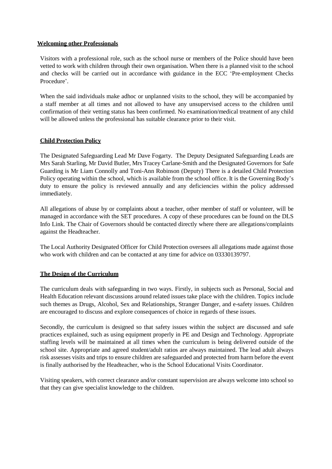## **Welcoming other Professionals**

Visitors with a professional role, such as the school nurse or members of the Police should have been vetted to work with children through their own organisation. When there is a planned visit to the school and checks will be carried out in accordance with guidance in the ECC 'Pre-employment Checks Procedure'.

When the said individuals make adhoc or unplanned visits to the school, they will be accompanied by a staff member at all times and not allowed to have any unsupervised access to the children until confirmation of their vetting status has been confirmed. No examination/medical treatment of any child will be allowed unless the professional has suitable clearance prior to their visit.

# **Child Protection Policy**

The Designated Safeguarding Lead Mr Dave Fogarty. The Deputy Designated Safeguarding Leads are Mrs Sarah Starling, Mr David Butler, Mrs Tracey Carlane-Smith and the Designated Governors for Safe Guarding is Mr Liam Connolly and Toni-Ann Robinson (Deputy) There is a detailed Child Protection Policy operating within the school, which is available from the school office. It is the Governing Body's duty to ensure the policy is reviewed annually and any deficiencies within the policy addressed immediately.

All allegations of abuse by or complaints about a teacher, other member of staff or volunteer, will be managed in accordance with the SET procedures. A copy of these procedures can be found on the DLS Info Link. The Chair of Governors should be contacted directly where there are allegations/complaints against the Headteacher.

The Local Authority Designated Officer for Child Protection oversees all allegations made against those who work with children and can be contacted at any time for advice on 03330139797.

# **The Design of the Curriculum**

The curriculum deals with safeguarding in two ways. Firstly, in subjects such as Personal, Social and Health Education relevant discussions around related issues take place with the children. Topics include such themes as Drugs, Alcohol, Sex and Relationships, Stranger Danger, and e-safety issues. Children are encouraged to discuss and explore consequences of choice in regards of these issues.

Secondly, the curriculum is designed so that safety issues within the subject are discussed and safe practices explained, such as using equipment properly in PE and Design and Technology. Appropriate staffing levels will be maintained at all times when the curriculum is being delivered outside of the school site. Appropriate and agreed student/adult ratios are always maintained. The lead adult always risk assesses visits and trips to ensure children are safeguarded and protected from harm before the event is finally authorised by the Headteacher, who is the School Educational Visits Coordinator.

Visiting speakers, with correct clearance and/or constant supervision are always welcome into school so that they can give specialist knowledge to the children.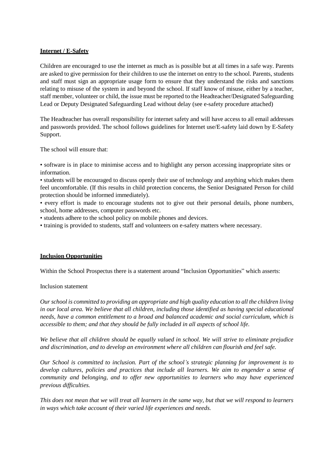# **Internet / E-Safety**

Children are encouraged to use the internet as much as is possible but at all times in a safe way. Parents are asked to give permission for their children to use the internet on entry to the school. Parents, students and staff must sign an appropriate usage form to ensure that they understand the risks and sanctions relating to misuse of the system in and beyond the school. If staff know of misuse, either by a teacher, staff member, volunteer or child, the issue must be reported to the Headteacher/Designated Safeguarding Lead or Deputy Designated Safeguarding Lead without delay (see e-safety procedure attached)

The Headteacher has overall responsibility for internet safety and will have access to all email addresses and passwords provided. The school follows guidelines for Internet use/E-safety laid down by E-Safety Support.

The school will ensure that:

• software is in place to minimise access and to highlight any person accessing inappropriate sites or information.

• students will be encouraged to discuss openly their use of technology and anything which makes them feel uncomfortable. (If this results in child protection concerns, the Senior Designated Person for child protection should be informed immediately).

• every effort is made to encourage students not to give out their personal details, phone numbers, school, home addresses, computer passwords etc.

• students adhere to the school policy on mobile phones and devices.

• training is provided to students, staff and volunteers on e-safety matters where necessary.

## **Inclusion Opportunities**

Within the School Prospectus there is a statement around "Inclusion Opportunities" which asserts:

Inclusion statement

*Our school is committed to providing an appropriate and high quality education to all the children living in our local area. We believe that all children, including those identified as having special educational needs, have a common entitlement to a broad and balanced academic and social curriculum, which is accessible to them; and that they should be fully included in all aspects of school life.*

*We believe that all children should be equally valued in school. We will strive to eliminate prejudice and discrimination, and to develop an environment where all children can flourish and feel safe.*

*Our School is committed to inclusion. Part of the school's strategic planning for improvement is to develop cultures, policies and practices that include all learners. We aim to engender a sense of community and belonging, and to offer new opportunities to learners who may have experienced previous difficulties.*

This does not mean that we will treat all learners in the same way, but that we will respond to learners *in ways which take account of their varied life experiences and needs.*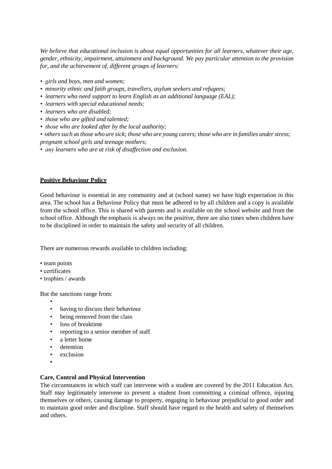*We believe that educational inclusion is about equal opportunities for all learners, whatever their age, gender, ethnicity, impairment, attainment and background. We pay particular attention to the provision for, and the achievement of, different groups of learners:*

- *girls and boys, men and women;*
- *minority ethnic and faith groups, travellers, asylum seekers and refugees;*
- *learners who need support to learn English as an additional language (EAL);*
- *learners with special educational needs;*
- *learners who are disabled;*
- *those who are gifted and talented;*
- *those who are looked after by the local authority;*
- others such as those who are sick; those who are young carers; those who are in families under stress; *pregnant school girls and teenage mothers;*
- *any learners who are at risk of disaffection and exclusion.*

## **Positive Behaviour Policy**

Good behaviour is essential in any community and at (school name) we have high expectation in this area. The school has a Behaviour Policy that must be adhered to by all children and a copy is available from the school office. This is shared with parents and is available on the school website and from the school office. Although the emphasis is always on the positive, there are also times when children have to be disciplined in order to maintain the safety and security of all children.

There are numerous rewards available to children including:

- team points
- certificates
- trophies / awards

But the sanctions range from:

- •
- having to discuss their behaviour
- being removed from the class
- loss of breaktime
- reporting to a senior member of staff
- a letter home
- detention
- exclusion
- •

## **Care, Control and Physical Intervention**

The circumstances in which staff can intervene with a student are covered by the 2011 Education Act. Staff may legitimately intervene to prevent a student from committing a criminal offence, injuring themselves or others, causing damage to property, engaging in behaviour prejudicial to good order and to maintain good order and discipline. Staff should have regard to the health and safety of themselves and others.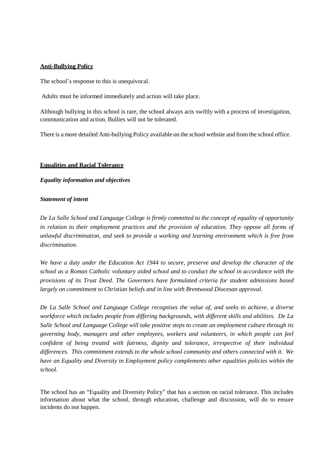# **Anti-Bullying Policy**

The school's response to this is unequivocal.

Adults must be informed immediately and action will take place.

Although bullying in this school is rare, the school always acts swiftly with a process of investigation, communication and action. Bullies will not be tolerated.

There is a more detailed Anti-bullying Policy available on the school website and from the school office.

# **Equalities and Racial Tolerance**

# *Equality information and objectives*

# *Statement of intent*

*De La Salle School and Language College is firmly committed to the concept of equality of opportunity in relation to their employment practices and the provision of education. They oppose all forms of unlawful discrimination, and seek to provide a working and learning environment which is free from discrimination.*

*We have a duty under the Education Act 1944 to secure, preserve and develop the character of the school as a Roman Catholic voluntary aided school and to conduct the school in accordance with the provisions of its Trust Deed. The Governors have formulated criteria for student admissions based largely on commitment to Christian beliefs and in line with Brentwood Diocesan approval.*

*De La Salle School and Language College recognises the value of, and seeks to achieve, a diverse workforce which includes people from differing backgrounds, with different skills and abilities. De La Salle School and Language College will take positive steps to create an employment culture through its governing body, managers and other employees, workers and volunteers, in which people can feel confident of being treated with fairness, dignity and tolerance, irrespective of their individual differences. This commitment extends to the whole school community and others connected with it. We have an Equality and Diversity in Employment policy complements other equalities policies within the school.*

The school has an "Equality and Diversity Policy" that has a section on racial tolerance. This includes information about what the school, through education, challenge and discussion, will do to ensure incidents do not happen.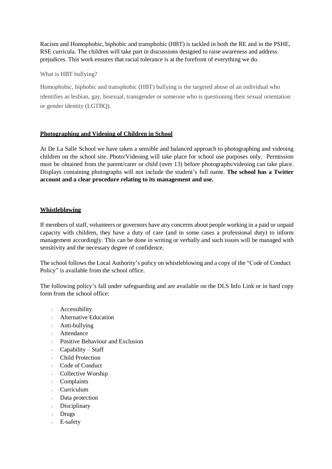Racism and Homophobic, biphobic and transphobic (HBT) is tackled in both the RE and in the PSHE, RSE curricula. The children will take part in discussions designed to raise awareness and address prejudices. This work ensures that racial tolerance is at the forefront of everything we do.

What is HBT bullying?

Homophobic, biphobic and transphobic (HBT) bullying is the targeted abuse of an individual who identifies as lesbian, gay, bisexual, transgender or someone who is questioning their sexual orientation or gender identity (LGTBQ).

# **Photographing and Videoing of Children in School**

At De La Salle School we have taken a sensible and balanced approach to photographing and videoing children on the school site. Photo/Videoing will take place for school use purposes only. Permission must be obtained from the parent/carer or child (over 13) before photographs/videoing can take place. Displays containing photographs will not include the student's full name. **The school has a Twitter account and a clear procedure relating to its management and use.**

# **Whistleblowing**

If members of staff, volunteers or governors have any concerns about people working in a paid or unpaid capacity with children, they have a duty of care (and in some cases a professional duty) to inform management accordingly. This can be done in writing or verbally and such issues will be managed with sensitivity and the necessary degree of confidence.

The school follows the Local Authority's policy on whistleblowing and a copy of the "Code of Conduct Policy" is available from the school office.

The following policy's fall under safeguarding and are available on the DLS Info Link or in hard copy form from the school office:

- Accessibility
- Alternative Education
- Anti-bullying
- Attendance
- Positive Behaviour and Exclusion
- $\mathbf{v}^{(i)}$ Capability – Staff
- Child Protection
- Code of Conduct
- Collective Worship
- Complaints
- Curriculum
- Data protection
- Disciplinary
- Drugs
- E-safety